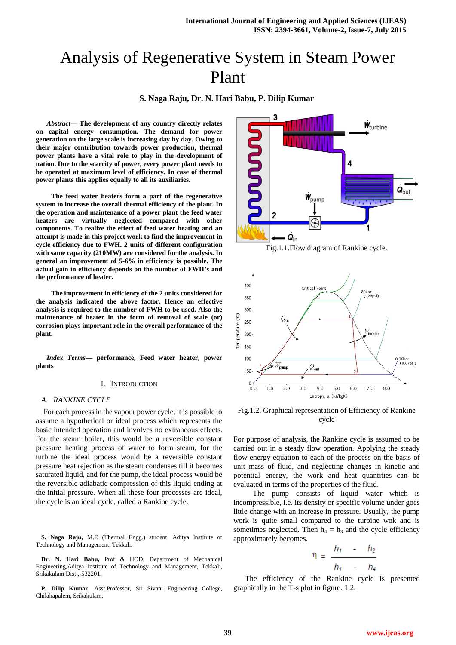# Analysis of Regenerative System in Steam Power Plant

**S. Naga Raju, Dr. N. Hari Babu, P. Dilip Kumar**

*Abstract***— The development of any country directly relates on capital energy consumption. The demand for power generation on the large scale is increasing day by day. Owing to their major contribution towards power production, thermal power plants have a vital role to play in the development of nation. Due to the scarcity of power, every power plant needs to be operated at maximum level of efficiency. In case of thermal power plants this applies equally to all its auxiliaries.**

**The feed water heaters form a part of the regenerative system to increase the overall thermal efficiency of the plant. In the operation and maintenance of a power plant the feed water heaters are virtually neglected compared with other components. To realize the effect of feed water heating and an attempt is made in this project work to find the improvement in cycle efficiency due to FWH. 2 units of different configuration with same capacity (210MW) are considered for the analysis. In general an improvement of 5-6% in efficiency is possible. The actual gain in efficiency depends on the number of FWH's and the performance of heater.**

**The improvement in efficiency of the 2 units considered for the analysis indicated the above factor. Hence an effective analysis is required to the number of FWH to be used. Also the maintenance of heater in the form of removal of scale (or) corrosion plays important role in the overall performance of the plant.**

*Index Terms***— performance, Feed water heater, power plants**

#### I. INTRODUCTION

#### *A. RANKINE CYCLE*

For each process in the vapour power cycle, it is possible to assume a hypothetical or ideal process which represents the basic intended operation and involves no extraneous effects. For the steam boiler, this would be a reversible constant pressure heating process of water to form steam, for the turbine the ideal process would be a reversible constant pressure heat rejection as the steam condenses till it becomes saturated liquid, and for the pump, the ideal process would be the reversible adiabatic compression of this liquid ending at the initial pressure. When all these four processes are ideal, the cycle is an ideal cycle, called a Rankine cycle.

**S. Naga Raju,** M.E (Thermal Engg.) student, Aditya Institute of Technology and Management, Tekkali.

**Dr. N. Hari Babu,** Prof & HOD, Department of Mechanical Engineering,Aditya Institute of Technology and Management, Tekkali, Srikakulam Dist.,-532201.

**P. Dilip Kumar,** Asst.Professor, Sri Sivani Engineering College, Chilakapalem, Srikakulam.



Fig.1.1.Flow diagram of Rankine cycle.



Fig.1.2. Graphical representation of Efficiency of Rankine cycle

For purpose of analysis, the Rankine cycle is assumed to be carried out in a steady flow operation. Applying the steady flow energy equation to each of the process on the basis of unit mass of fluid, and neglecting changes in kinetic and potential energy, the work and heat quantities can be evaluated in terms of the properties of the fluid.

 The pump consists of liquid water which is incompressible, i.e. its density or specific volume under goes little change with an increase in pressure. Usually, the pump work is quite small compared to the turbine wok and is sometimes neglected. Then  $h_4 = h_3$  and the cycle efficiency approximately becomes.

$$
\eta = \frac{h_1}{h_1} - \frac{h_2}{h_4}
$$

 The efficiency of the Rankine cycle is presented graphically in the T-s plot in figure. 1.2.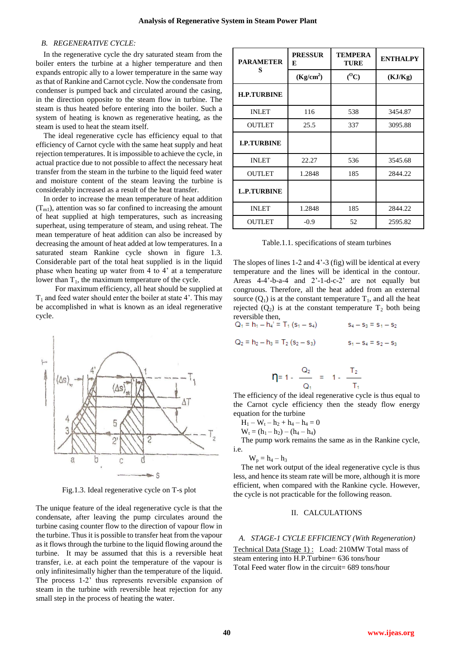#### *B. REGENERATIVE CYCLE:*

In the regenerative cycle the dry saturated steam from the boiler enters the turbine at a higher temperature and then expands entropic ally to a lower temperature in the same way as that of Rankine and Carnot cycle. Now the condensate from condenser is pumped back and circulated around the casing, in the direction opposite to the steam flow in turbine. The steam is thus heated before entering into the boiler. Such a system of heating is known as regenerative heating, as the steam is used to heat the steam itself.

The ideal regenerative cycle has efficiency equal to that efficiency of Carnot cycle with the same heat supply and heat rejection temperatures. It is impossible to achieve the cycle, in actual practice due to not possible to affect the necessary heat transfer from the steam in the turbine to the liquid feed water and moisture content of the steam leaving the turbine is considerably increased as a result of the heat transfer.

In order to increase the mean temperature of heat addition  $(T<sub>m1</sub>)$ , attention was so far confined to increasing the amount of heat supplied at high temperatures, such as increasing superheat, using temperature of steam, and using reheat. The mean temperature of heat addition can also be increased by decreasing the amount of heat added at low temperatures. In a saturated steam Rankine cycle shown in figure 1.3. Considerable part of the total heat supplied is in the liquid phase when heating up water from 4 to 4' at a temperature lower than  $T_1$ , the maximum temperature of the cycle.

 For maximum efficiency, all heat should be supplied at  $T_1$  and feed water should enter the boiler at state 4'. This may be accomplished in what is known as an ideal regenerative cycle.



Fig.1.3. Ideal regenerative cycle on T-s plot

The unique feature of the ideal regenerative cycle is that the condensate, after leaving the pump circulates around the turbine casing counter flow to the direction of vapour flow in the turbine. Thus it is possible to transfer heat from the vapour as it flows through the turbine to the liquid flowing around the turbine. It may be assumed that this is a reversible heat transfer, i.e. at each point the temperature of the vapour is only infinitesimally higher than the temperature of the liquid. The process 1-2' thus represents reversible expansion of steam in the turbine with reversible heat rejection for any small step in the process of heating the water.

| <b>PARAMETER</b>   | <b>PRESSUR</b><br>E   | <b>TEMPERA</b><br><b>TURE</b> | <b>ENTHALPY</b> |
|--------------------|-----------------------|-------------------------------|-----------------|
| S                  | (Kg/cm <sup>2</sup> ) | $(^0C)$                       | (KJ/Kg)         |
| <b>H.P.TURBINE</b> |                       |                               |                 |
| <b>INLET</b>       | 116                   | 538                           | 3454.87         |
| <b>OUTLET</b>      | 25.5                  | 337                           | 3095.88         |
| <b>I.P.TURBINE</b> |                       |                               |                 |
| <b>INLET</b>       | 22.27                 | 536                           | 3545.68         |
| <b>OUTLET</b>      | 1.2848                | 185                           | 2844.22         |
| <b>L.P.TURBINE</b> |                       |                               |                 |
| <b>INLET</b>       | 1.2848                | 185                           | 2844.22         |
| <b>OUTLET</b>      | $-0.9$                | 52                            | 2595.82         |

Table.1.1. specifications of steam turbines

The slopes of lines 1-2 and 4'-3 (fig) will be identical at every temperature and the lines will be identical in the contour. Areas 4-4'-b-a-4 and 2'-1-d-c-2' are not equally but congruous. Therefore, all the heat added from an external source  $(Q_1)$  is at the constant temperature  $T_1$ , and all the heat rejected  $(Q_2)$  is at the constant temperature  $T_2$  both being reversible then,

$$
Q_1 = h_1 - h_4' = T_1 (s_1 - s_4)
$$
  
\n
$$
S_4 - S_3 = s_1 - s_2
$$
  
\n
$$
Q_2 = h_2 - h_3 = T_2 (s_2 - s_3)
$$
  
\n
$$
S_4 - S_3 = s_1 - s_2
$$
  
\n
$$
S_5 - S_4 = s_2 - s_3
$$

$$
\eta = 1 - \frac{Q_2}{Q_1} = 1 - \frac{T_2}{T_1}
$$

The efficiency of the ideal regenerative cycle is thus equal to the Carnot cycle efficiency then the steady flow energy equation for the turbine

$$
H_1 - W_t - h_2 + h_4 - h_4 = 0
$$

 $W_t = (h_1 - h_2) - (h_4 - h_4)$ 

The pump work remains the same as in the Rankine cycle, i.e.

$$
W_p = h_4 - h_3
$$

The net work output of the ideal regenerative cycle is thus less, and hence its steam rate will be more, although it is more efficient, when compared with the Rankine cycle. However, the cycle is not practicable for the following reason.

#### II. CALCULATIONS

#### *A. STAGE-1 CYCLE EFFICIENCY (With Regeneration)*

Technical Data (Stage 1) : Load: 210MW Total mass of steam entering into H.P.Turbine= 636 tons/hour Total Feed water flow in the circuit= 689 tons/hour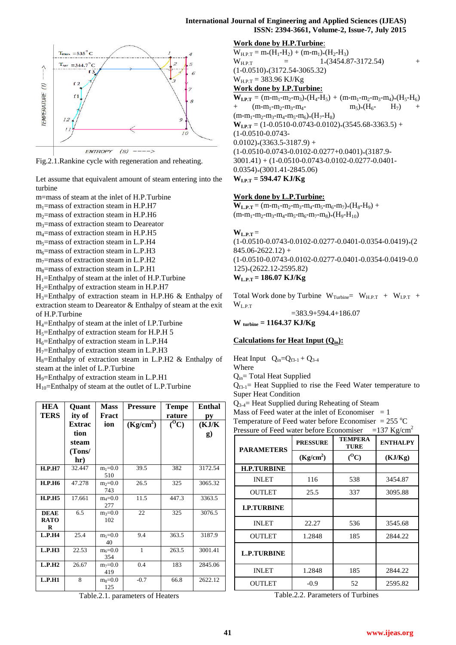

Fig.2.1.Rankine cycle with regeneration and reheating.

Let assume that equivalent amount of steam entering into the turbine

m=mass of steam at the inlet of H.P.Turbine

 $m_1$ =mass of extraction steam in H.P.H7

 $m_2$ =mass of extraction steam in H.P.H6

m3=mass of extraction steam to Deareator

m4=mass of extraction steam in H.P.H5

 $m<sub>5</sub>=$ mass of extraction steam in L.P.H4

 $m<sub>6</sub>=$ mass of extraction steam in L.P.H3

 $m_7$ =mass of extraction steam in L.P.H2

 $m_8$ =mass of extraction steam in L.P.H1

 $H_1$ =Enthalpy of steam at the inlet of H.P.Turbine

 $H<sub>2</sub>=$ Enthalpy of extraction steam in H.P.H7

 $H_3$ =Enthalpy of extraction steam in H.P.H6 & Enthalpy of extraction steam to Deareator & Enthalpy of steam at the exit of H.P.Turbine

H4=Enthalpy of steam at the inlet of I.P.Turbine

 $H<sub>5</sub>=$ Enthalpy of extraction steam for H.P.H 5

 $H_6$ =Enthalpy of extraction steam in L.P.H4

 $H_7$ =Enthalpy of extraction steam in L.P.H3

 $H_8$ =Enthalpy of extraction steam in L.P.H2 & Enthalpy of steam at the inlet of L.P.Turbine

H9=Enthalpy of extraction steam in L.P.H1

 $H_{10}$ =Enthalpy of steam at the outlet of L.P.Turbine

| <b>HEA</b>       | <b>Ouant</b> | <b>Mass</b>        | <b>Pressure</b>       | <b>Tempe</b>         | Enthal    |
|------------------|--------------|--------------------|-----------------------|----------------------|-----------|
| TERS             | ity of       | Fract              |                       | rature               | рy        |
|                  | Extrac       | ion                | (Kg/cm <sup>2</sup> ) | $\overline{({}^0C)}$ | (KJ/K)    |
|                  | tion         |                    |                       |                      | $\bf{g})$ |
|                  | steam        |                    |                       |                      |           |
|                  | (Tons/       |                    |                       |                      |           |
|                  | hr)          |                    |                       |                      |           |
| H.P.H7           | 32.447       | $m_1 = 0.0$<br>510 | 39.5                  | 382                  | 3172.54   |
| <b>H.P.H6</b>    | 47.278       | $m_2=0.0$<br>743   | 26.5                  | 325                  | 3065.32   |
| <b>H.P.H5</b>    | 17.661       | $m_4 = 0.0$<br>277 | 11.5                  | 447.3                | 3363.5    |
| <b>DEAE</b>      | 6.5          | $m_3 = 0.0$        | 22                    | 325                  | 3076.5    |
| <b>RATO</b><br>R |              | 102                |                       |                      |           |
| L.P.H4           | 25.4         | $m5=0.0$<br>40     | 9.4                   | 363.5                | 3187.9    |
| L.P.H3           | 22.53        | $m_6 = 0.0$<br>354 | $\mathbf{1}$          | 263.5                | 3001.41   |
| L.P.H2           | 26.67        | $m_7 = 0.0$<br>419 | 0.4                   | 183                  | 2845.06   |
| L.P.H1           | 8            | $m8=0.0$<br>125    | $-0.7$                | 66.8                 | 2622.12   |

Table.2.1. parameters of Heaters

## **Work done by H.P.Turbine**:

 $W_{H.P.T} = m*(H_1-H_2) + (m-m_1)*(H_2-H_3)$  $W_{\text{HPT}}$  = 1\*(3454.87-3172.54) +  $(1-0.0510)*(3172.54-3065.32)$  $W_{H.P.T} = 383.96 \text{ KJ/Kg}$ **Work done by I.P.Turbine:**  $W_{\text{LPT}} = (m-m_1-m_2-m_3)*(H_4-H_5) + (m-m_1-m_2-m_3-m_4)*(H_5-H_6)$  $+\qquad (m-m_1-m_2-m_3-m_4-m_5)_{*}(H_6-H_7)$  $(m-m_1-m_2-m_3-m_4-m_5-m_6)*(H_7-H_8)$  $W_{\text{LPT}} = (1-0.0510-0.0743-0.0102)*(3545.68-3363.5) +$ (1-0.0510-0.0743-  $0.0102$ <sup>\*</sup>(3363.5-3187.9) +  $(1-0.0510-0.0743-0.0102-0.0277+0.0401)*(3187.9-$ 3001.41) + (1-0.0510-0.0743-0.0102-0.0277-0.0401- 0.0354)\*(3001.41-2845.06)

$$
W_{\text{L.P.T}} = 594.47 \text{ KJ/Kg}
$$

## **Work done by L.P.Turbine:**

 $W_{L.P.T} = (m-m_1-m_2-m_3-m_4-m_5-m_6-m_7)*(H_8-H_9) +$  $(m-m_1-m_2-m_3-m_4-m_5-m_6-m_7-m_8)*(H_9-H_{10})$ 

## $W_{L.P.T} =$

 $(1-0.0510-0.0743-0.0102-0.0277-0.0401-0.0354-0.0419)*(2)$  $845.06 - 2622.12$ ) + (1-0.0510-0.0743-0.0102-0.0277-0.0401-0.0354-0.0419-0.0 125)\*(2622.12-2595.82) **WL.P.T = 186.07 KJ/Kg**

Total Work done by Turbine  $W_{Turbine} = W_{H.P.T} + W_{L.P.T} +$ WL.P.T =383.9+594.4+186.07

**W turbine = 1164.37 KJ/Kg**

## **Calculations for Heat Input (Qin):**

Heat Input  $Q_{in}=Q_{f3-1} + Q_{3-4}$ 

Where

 $Q_{in}$ = Total Heat Supplied

 $Q_{f3-1}$  Heat Supplied to rise the Feed Water temperature to Super Heat Condition

Q3-4= Heat Supplied during Reheating of Steam

Mass of Feed water at the inlet of Economiser  $= 1$ 

Temperature of Feed water before Economiser =  $255 \text{ °C}$ 

| Pressure of Feed water before Economiser |  |  |  | =137 Kg/cm <sup>2</sup> |
|------------------------------------------|--|--|--|-------------------------|

| <b>PARAMETERS</b>  | <b>PRESSURE</b>       | <b>TEMPERA</b><br><b>TURE</b> | <b>ENTHALPY</b> |
|--------------------|-----------------------|-------------------------------|-----------------|
|                    | (Kg/cm <sup>2</sup> ) | $(^0C)$                       | (KJ/Kg)         |
| <b>H.P.TURBINE</b> |                       |                               |                 |
| <b>INLET</b>       | 116                   | 538                           | 3454.87         |
| <b>OUTLET</b>      | 25.5                  | 337                           | 3095.88         |
| <b>I.P.TURBINE</b> |                       |                               |                 |
| <b>INLET</b>       | 22.27                 | 536                           | 3545.68         |
| <b>OUTLET</b>      | 1.2848                | 185                           | 2844.22         |
| <b>L.P.TURBINE</b> |                       |                               |                 |
| <b>INLET</b>       | 1.2848                | 185                           | 2844.22         |
| OUTLET             | $-0.9$                | 52                            | 2595.82         |

Table.2.2. Parameters of Turbines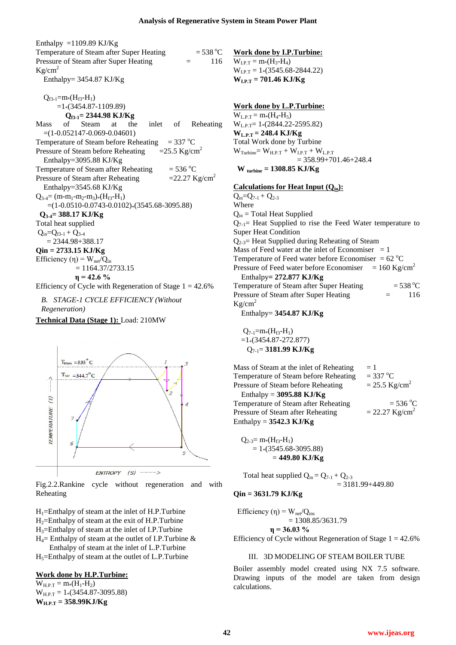Enthalpy  $=1109.89$  KJ/Kg Temperature of Steam after Super Heating  $= 538 \,^{\circ}\text{C}$ Pressure of Steam after Super Heating  $=$  116  $Kg/cm<sup>2</sup>$ Enthalpy= 3454.87 KJ/Kg  $Q_{f3-1}=m*(H_{f3}-H_1)$  $=1*(3454.87-1109.89)$ **Qf3-1= 2344.98 KJ/Kg** Mass of Steam at the inlet of Reheating  $=(1-0.052147-0.069-0.04601)$ Temperature of Steam before Reheating  $= 337 \text{ °C}$ Pressure of Steam before Reheating  $=25.5 \text{ Kg/cm}^2$ Enthalpy=3095.88 KJ/Kg Temperature of Steam after Reheating  $= 536 \,^{\circ}\text{C}$ Pressure of Steam after Reheating  $=22.27 \text{ Kg/cm}^2$ Enthalpy=3545.68 KJ/Kg  $Q_{3-4}$ = (m-m<sub>1</sub>-m<sub>2</sub>-m<sub>3</sub>)\*(H<sub>f3</sub>-H<sub>1</sub>)  $=(1-0.0510-0.0743-0.0102)*(3545.68-3095.88)$  **Q3-4= 388.17 KJ/Kg** Total heat supplied  $Q_{in}=Q_{f3-1} + Q_{3-4}$  $= 2344.98 + 388.17$ **Qin = 2733.15 KJ/Kg** Efficiency (η) =  $W_{net}/Q_{in}$  $= 1164.37/2733.15$  **η = 42.6 %** Efficiency of Cycle with Regeneration of Stage  $1 = 42.6\%$ 

*B. STAGE-1 CYCLE EFFICIENCY (Without Regeneration)*

**Technical Data (Stage 1):** Load: 210MW



Fig.2.2.Rankine cycle without regeneration and with Reheating

 $H_1$ =Enthalpy of steam at the inlet of H.P.Turbine  $H_2$ =Enthalpy of steam at the exit of H.P.Turbine

H3=Enthalpy of steam at the inlet of I.P.Turbine

 $H_4$ = Enthalpy of steam at the outlet of I.P.Turbine & Enthalpy of steam at the inlet of L.P.Turbine

 $H<sub>5</sub>=$ Enthalpy of steam at the outlet of L.P.Turbine

## **Work done by H.P.Turbine:**

 $W_{H.P.T} = m*(H_1-H_2)$  $W_{H.P.T} = 1*(3454.87-3095.88)$ **WH.P.T = 358.99KJ/Kg**

**Work done by I.P.Turbine:**  $W_{LPT} = m*(H_3-H_4)$  $W_{LPT} = 1*(3545.68-2844.22)$ **WI.P.T = 701.46 KJ/Kg**

#### **Work done by L.P.Turbine:**

 $W_{L.P.T} = m*(H_4-H_5)$ WL.P.T= 1\*(2844.22-2595.82)  $W_{L.P.T} = 248.4 \text{ KJ/Kg}$ Total Work done by Turbine  $W_{Turbine} = W_{H.P.T} + W_{L.P.T} + W_{L.P.T}$  $= 358.99 + 701.46 + 248.4$ **W turbine = 1308.85 KJ/Kg**

## **Calculations for Heat Input (Qin):**

 $Q_{in}=Q_{7-1} + Q_{2-3}$ Where  $Q_{in}$  = Total Heat Supplied  $Q_{7-1}$  Heat Supplied to rise the Feed Water temperature to Super Heat Condition  $Q_{2,3}$ = Heat Supplied during Reheating of Steam Mass of Feed water at the inlet of Economiser  $= 1$ Temperature of Feed water before Economiser =  $62^{\circ}$ C Pressure of Feed water before Economiser =  $160 \text{ Kg/cm}^2$ Enthalpy**= 272.877 KJ/Kg** Temperature of Steam after Super Heating  $= 538 \text{ °C}$ Pressure of Steam after Super Heating  $=$  116  $Kg/cm<sup>2</sup>$ 

Enthalpy= **3454.87 KJ/Kg**

 $Q_{7-1} = m*(H_{f3}-H_1)$  $=1*(3454.87-272.877)$ Q7-1= **3181.99 KJ/Kg**

Mass of Steam at the inlet of Reheating  $= 1$ Temperature of Steam before Reheating  $= 337 \,^{\circ}\text{C}$ Pressure of Steam before Reheating  $= 25.5 \text{ Kg/cm}^2$ Enthalpy = **3095.88 KJ/Kg** Temperature of Steam after Reheating  $= 536 \degree C$ Pressure of Steam after Reheating  $= 22.27 \text{ Kg/cm}^2$ Enthalpy = **3542.3 KJ/Kg**

 $Q_{2-3} = m*(H_{f3}-H_1)$  $= 1*(3545.68-3095.88)$ = **449.80 KJ/Kg**

Total heat supplied Qin = Q7-1 + Q2-3 = 3181.99+449.80

$$
Qin = 3631.79 \text{ KJ/Kg}
$$

Efficiency (η) =  $W_{net}/Q_{ins}$  $= 1308.85/3631.79$  **η = 36.03 %** Efficiency of Cycle without Regeneration of Stage  $1 = 42.6\%$ 

## III. 3D MODELING OF STEAM BOILER TUBE

Boiler assembly model created using NX 7.5 software. Drawing inputs of the model are taken from design calculations.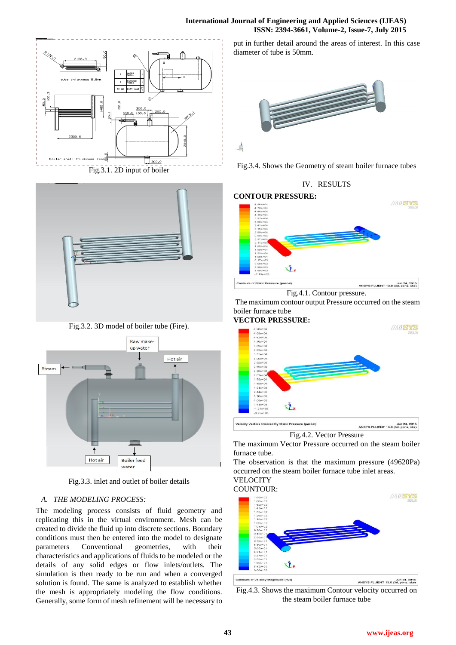## **International Journal of Engineering and Applied Sciences (IJEAS) ISSN: 2394-3661, Volume-2, Issue-7, July 2015**



Fig.3.1. 2D input of boiler



Fig.3.2. 3D model of boiler tube (Fire).



Fig.3.3. inlet and outlet of boiler details

## *A. THE MODELING PROCESS:*

The modeling process consists of fluid geometry and replicating this in the virtual environment. Mesh can be created to divide the fluid up into discrete sections. Boundary conditions must then be entered into the model to designate parameters Conventional geometries, with their characteristics and applications of fluids to be modeled or the details of any solid edges or flow inlets/outlets. The simulation is then ready to be run and when a converged solution is found. The same is analyzed to establish whether the mesh is appropriately modeling the flow conditions. Generally, some form of mesh refinement will be necessary to put in further detail around the areas of interest. In this case diameter of tube is 50mm.



Fig.3.4. Shows the Geometry of steam boiler furnace tubes

IV. RESULTS

## **CONTOUR PRESSURE:**



Fig.4.1. Contour pressure.

The maximum contour output Pressure occurred on the steam boiler furnace tube

#### **VECTOR PRESSURE:**



Fig.4.2. Vector Pressure

The maximum Vector Pressure occurred on the steam boiler furnace tube.

The observation is that the maximum pressure (49620Pa) occurred on the steam boiler furnace tube inlet areas.



Fig.4.3. Shows the maximum Contour velocity occurred on the steam boiler furnace tube